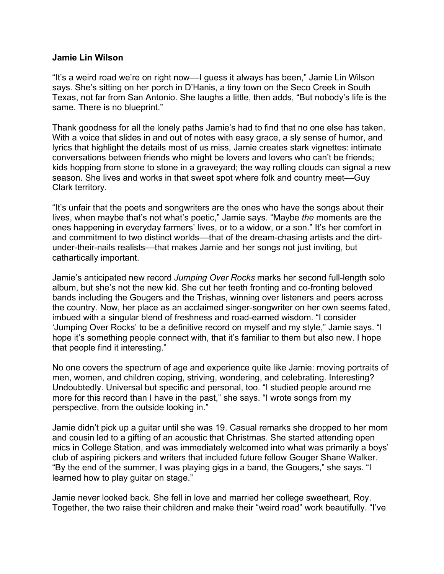## **Jamie Lin Wilson**

"It's a weird road we're on right now––I guess it always has been," Jamie Lin Wilson says. She's sitting on her porch in D'Hanis, a tiny town on the Seco Creek in South Texas, not far from San Antonio. She laughs a little, then adds, "But nobody's life is the same. There is no blueprint."

Thank goodness for all the lonely paths Jamie's had to find that no one else has taken. With a voice that slides in and out of notes with easy grace, a sly sense of humor, and lyrics that highlight the details most of us miss, Jamie creates stark vignettes: intimate conversations between friends who might be lovers and lovers who can't be friends; kids hopping from stone to stone in a graveyard; the way rolling clouds can signal a new season. She lives and works in that sweet spot where folk and country meet—Guy Clark territory.

"It's unfair that the poets and songwriters are the ones who have the songs about their lives, when maybe that's not what's poetic," Jamie says. "Maybe *the* moments are the ones happening in everyday farmers' lives, or to a widow, or a son." It's her comfort in and commitment to two distinct worlds—that of the dream-chasing artists and the dirtunder-their-nails realists––that makes Jamie and her songs not just inviting, but cathartically important.

Jamie's anticipated new record *Jumping Over Rocks* marks her second full-length solo album, but she's not the new kid. She cut her teeth fronting and co-fronting beloved bands including the Gougers and the Trishas, winning over listeners and peers across the country. Now, her place as an acclaimed singer-songwriter on her own seems fated, imbued with a singular blend of freshness and road-earned wisdom. "I consider 'Jumping Over Rocks' to be a definitive record on myself and my style," Jamie says. "I hope it's something people connect with, that it's familiar to them but also new. I hope that people find it interesting."

No one covers the spectrum of age and experience quite like Jamie: moving portraits of men, women, and children coping, striving, wondering, and celebrating. Interesting? Undoubtedly. Universal but specific and personal, too. "I studied people around me more for this record than I have in the past," she says. "I wrote songs from my perspective, from the outside looking in."

Jamie didn't pick up a guitar until she was 19. Casual remarks she dropped to her mom and cousin led to a gifting of an acoustic that Christmas. She started attending open mics in College Station, and was immediately welcomed into what was primarily a boys' club of aspiring pickers and writers that included future fellow Gouger Shane Walker. "By the end of the summer, I was playing gigs in a band, the Gougers," she says. "I learned how to play guitar on stage."

Jamie never looked back. She fell in love and married her college sweetheart, Roy. Together, the two raise their children and make their "weird road" work beautifully. "I've